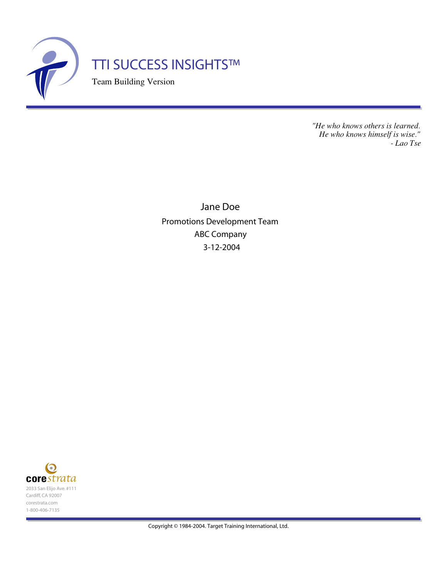

*"He who knows others is learned. He who knows himself is wise." - Lao Tse*

Jane Doe Promotions Development Team ABC Company 3-12-2004



Copyright © 1984-2004. Target Training International, Ltd.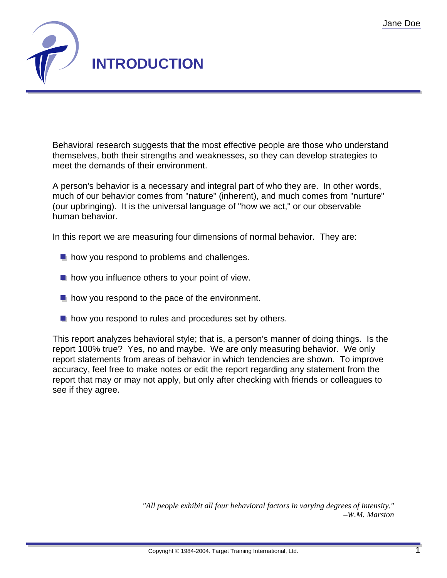

Behavioral research suggests that the most effective people are those who understand themselves, both their strengths and weaknesses, so they can develop strategies to meet the demands of their environment.

A person's behavior is a necessary and integral part of who they are. In other words, much of our behavior comes from "nature" (inherent), and much comes from "nurture" (our upbringing). It is the universal language of "how we act," or our observable human behavior.

In this report we are measuring four dimensions of normal behavior. They are:

- $\blacksquare$  how you respond to problems and challenges.
- $\blacksquare$  how you influence others to your point of view.
- $\blacksquare$  how you respond to the pace of the environment.
- $\blacksquare$  how you respond to rules and procedures set by others.

This report analyzes behavioral style; that is, a person's manner of doing things. Is the report 100% true? Yes, no and maybe. We are only measuring behavior. We only report statements from areas of behavior in which tendencies are shown. To improve accuracy, feel free to make notes or edit the report regarding any statement from the report that may or may not apply, but only after checking with friends or colleagues to see if they agree.

> *"All people exhibit all four behavioral factors in varying degrees of intensity." –W.M. Marston*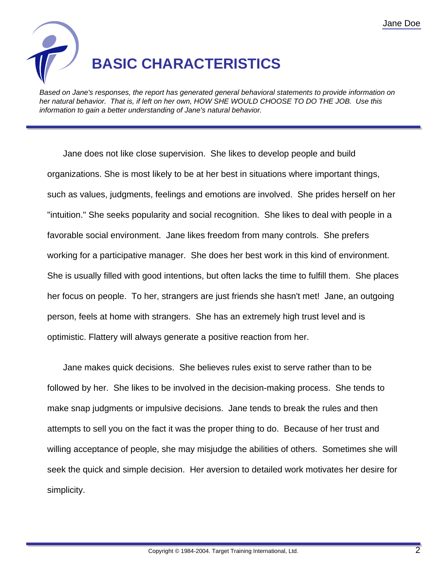

Based on Jane's responses, the report has generated general behavioral statements to provide information on her natural behavior. That is, if left on her own, HOW SHE WOULD CHOOSE TO DO THE JOB. Use this information to gain a better understanding of Jane's natural behavior.

Jane does not like close supervision. She likes to develop people and build organizations. She is most likely to be at her best in situations where important things, such as values, judgments, feelings and emotions are involved. She prides herself on her "intuition." She seeks popularity and social recognition. She likes to deal with people in a favorable social environment. Jane likes freedom from many controls. She prefers working for a participative manager. She does her best work in this kind of environment. She is usually filled with good intentions, but often lacks the time to fulfill them. She places her focus on people. To her, strangers are just friends she hasn't met! Jane, an outgoing person, feels at home with strangers. She has an extremely high trust level and is optimistic. Flattery will always generate a positive reaction from her.

Jane makes quick decisions. She believes rules exist to serve rather than to be followed by her. She likes to be involved in the decision-making process. She tends to make snap judgments or impulsive decisions. Jane tends to break the rules and then attempts to sell you on the fact it was the proper thing to do. Because of her trust and willing acceptance of people, she may misjudge the abilities of others. Sometimes she will seek the quick and simple decision. Her aversion to detailed work motivates her desire for simplicity.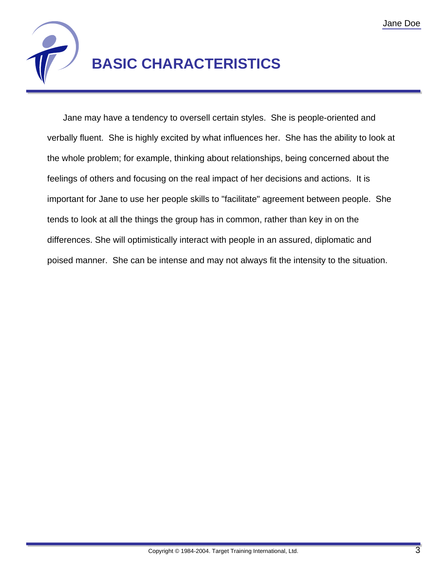

# **BASIC CHARACTERISTICS**

Jane may have a tendency to oversell certain styles. She is people-oriented and verbally fluent. She is highly excited by what influences her. She has the ability to look at the whole problem; for example, thinking about relationships, being concerned about the feelings of others and focusing on the real impact of her decisions and actions. It is important for Jane to use her people skills to "facilitate" agreement between people. She tends to look at all the things the group has in common, rather than key in on the differences. She will optimistically interact with people in an assured, diplomatic and poised manner. She can be intense and may not always fit the intensity to the situation.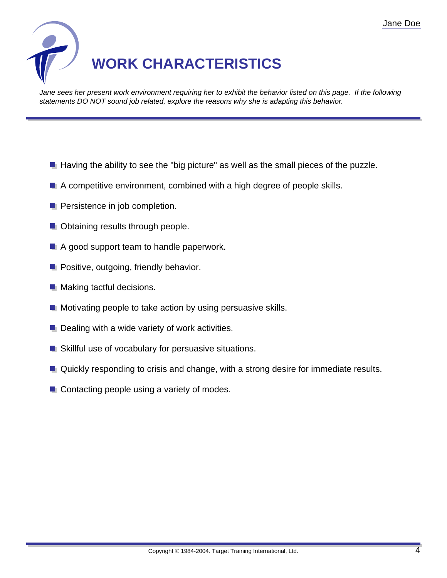

Jane sees her present work environment requiring her to exhibit the behavior listed on this page. If the following statements DO NOT sound job related, explore the reasons why she is adapting this behavior.

- $\blacksquare$  Having the ability to see the "big picture" as well as the small pieces of the puzzle.
- $\blacksquare$  A competitive environment, combined with a high degree of people skills.
- **Persistence in job completion.**
- **Obtaining results through people.**
- A good support team to handle paperwork.
- **Positive, outgoing, friendly behavior.**
- **Making tactful decisions.**
- **Motivating people to take action by using persuasive skills.**
- $\blacksquare$  Dealing with a wide variety of work activities.
- Skillful use of vocabulary for persuasive situations.
- **Quickly responding to crisis and change, with a strong desire for immediate results.**
- Contacting people using a variety of modes.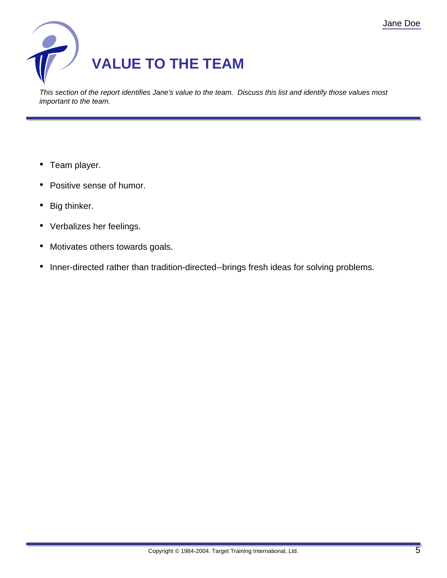

This section of the report identifies Jane's value to the team. Discuss this list and identify those values most important to the team.

- Team player.
- Positive sense of humor.
- Big thinker.
- Verbalizes her feelings.
- Motivates others towards goals.
- Inner-directed rather than tradition-directed--brings fresh ideas for solving problems.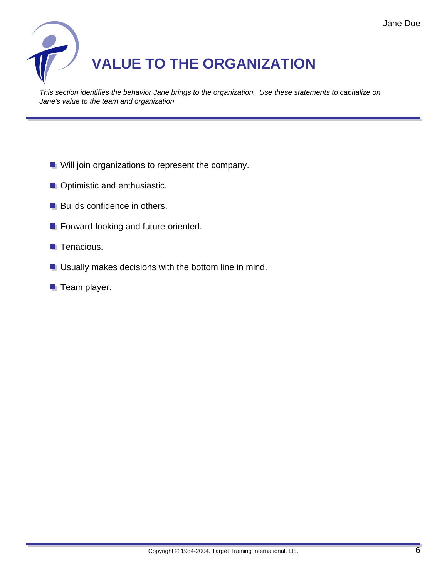

This section identifies the behavior Jane brings to the organization. Use these statements to capitalize on Jane's value to the team and organization.

- **Will join organizations to represent the company.**
- **Optimistic and enthusiastic.**
- **Builds confidence in others.**
- **Forward-looking and future-oriented.**
- $\blacksquare$  Tenacious.
- **Usually makes decisions with the bottom line in mind.**
- $\blacksquare$  Team player.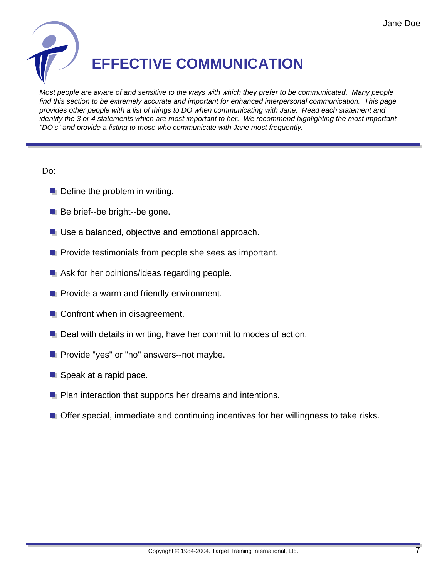

Most people are aware of and sensitive to the ways with which they prefer to be communicated. Many people find this section to be extremely accurate and important for enhanced interpersonal communication. This page provides other people with a list of things to DO when communicating with Jane. Read each statement and identify the 3 or 4 statements which are most important to her. We recommend highlighting the most important "DO's" and provide a listing to those who communicate with Jane most frequently.

### Do:

- $\blacksquare$  Define the problem in writing.
- Be brief--be bright--be gone.
- **Use a balanced, objective and emotional approach.**
- **P** Provide testimonials from people she sees as important.
- Ask for her opinions/ideas regarding people.
- **Provide a warm and friendly environment.**
- **Confront when in disagreement.**
- **Deal with details in writing, have her commit to modes of action.**
- **P** Provide "yes" or "no" answers--not maybe.
- Speak at a rapid pace.
- **P** Plan interaction that supports her dreams and intentions.
- **Offer special, immediate and continuing incentives for her willingness to take risks.**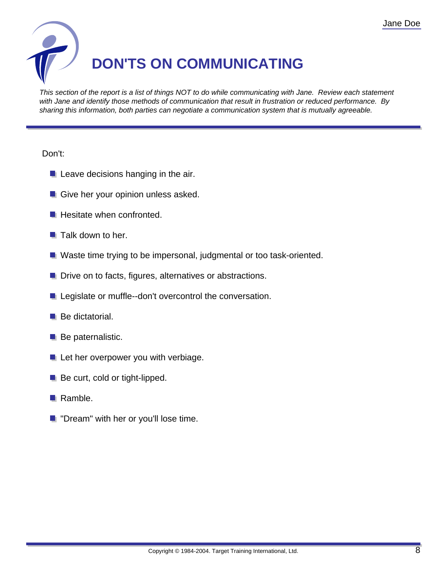

This section of the report is a list of things NOT to do while communicating with Jane. Review each statement with Jane and identify those methods of communication that result in frustration or reduced performance. By sharing this information, both parties can negotiate a communication system that is mutually agreeable.

### Don't:

- $\blacksquare$  Leave decisions hanging in the air.
- Give her your opinion unless asked.
- $\blacksquare$  Hesitate when confronted.
- $\blacksquare$  Talk down to her.
- Waste time trying to be impersonal, judgmental or too task-oriented.
- **D** Drive on to facts, figures, alternatives or abstractions.
- **Legislate or muffle--don't overcontrol the conversation.**
- $\blacksquare$  Be dictatorial.
- $\blacksquare$  Be paternalistic.
- Let her overpower you with verbiage.
- Be curt, cold or tight-lipped.
- Ramble.
- **T** "Dream" with her or you'll lose time.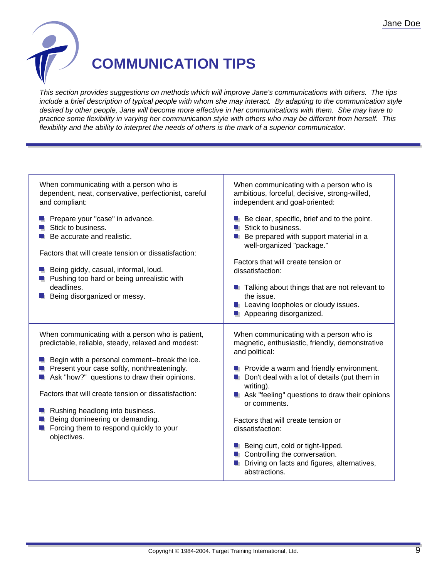

## **COMMUNICATION TIPS**

This section provides suggestions on methods which will improve Jane's communications with others. The tips include a brief description of typical people with whom she may interact. By adapting to the communication style desired by other people, Jane will become more effective in her communications with them. She may have to practice some flexibility in varying her communication style with others who may be different from herself. This flexibility and the ability to interpret the needs of others is the mark of a superior communicator.

| When communicating with a person who is<br>dependent, neat, conservative, perfectionist, careful<br>and compliant:                                                                                                                                                                                                                                                                                                                                      | When communicating with a person who is<br>ambitious, forceful, decisive, strong-willed,<br>independent and goal-oriented:                                                                                                                                                                                                                                                                                                                                                                                        |
|---------------------------------------------------------------------------------------------------------------------------------------------------------------------------------------------------------------------------------------------------------------------------------------------------------------------------------------------------------------------------------------------------------------------------------------------------------|-------------------------------------------------------------------------------------------------------------------------------------------------------------------------------------------------------------------------------------------------------------------------------------------------------------------------------------------------------------------------------------------------------------------------------------------------------------------------------------------------------------------|
| Prepare your "case" in advance.<br>Stick to business.<br>Be accurate and realistic.<br>Factors that will create tension or dissatisfaction:<br>Being giddy, casual, informal, loud.<br>Pushing too hard or being unrealistic with<br>deadlines.<br>Being disorganized or messy.                                                                                                                                                                         | Be clear, specific, brief and to the point.<br>Stick to business.<br>Be prepared with support material in a<br>well-organized "package."<br>Factors that will create tension or<br>dissatisfaction:<br>Talking about things that are not relevant to<br>the issue.<br>Leaving loopholes or cloudy issues.<br>Appearing disorganized.                                                                                                                                                                              |
| When communicating with a person who is patient,<br>predictable, reliable, steady, relaxed and modest:<br><b>E</b> Begin with a personal comment--break the ice.<br>Present your case softly, nonthreateningly.<br>Ask "how?" questions to draw their opinions.<br>Factors that will create tension or dissatisfaction:<br>Rushing headlong into business.<br>Being domineering or demanding.<br>Forcing them to respond quickly to your<br>objectives. | When communicating with a person who is<br>magnetic, enthusiastic, friendly, demonstrative<br>and political:<br>$\blacksquare$ Provide a warm and friendly environment.<br>Don't deal with a lot of details (put them in<br>writing).<br>Ask "feeling" questions to draw their opinions<br>or comments.<br>Factors that will create tension or<br>dissatisfaction:<br><b>B</b> Being curt, cold or tight-lipped.<br>Controlling the conversation.<br>Driving on facts and figures, alternatives,<br>abstractions. |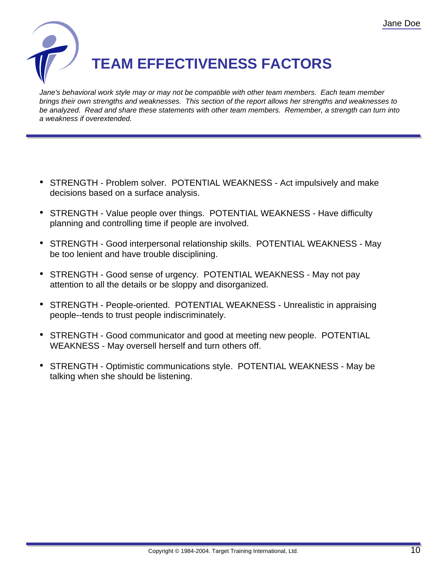

Jane's behavioral work style may or may not be compatible with other team members. Each team member brings their own strengths and weaknesses. This section of the report allows her strengths and weaknesses to be analyzed. Read and share these statements with other team members. Remember, a strength can turn into a weakness if overextended.

- STRENGTH Problem solver. POTENTIAL WEAKNESS Act impulsively and make decisions based on a surface analysis.
- STRENGTH Value people over things. POTENTIAL WEAKNESS Have difficulty planning and controlling time if people are involved.
- STRENGTH Good interpersonal relationship skills. POTENTIAL WEAKNESS May be too lenient and have trouble disciplining.
- STRENGTH Good sense of urgency. POTENTIAL WEAKNESS May not pay attention to all the details or be sloppy and disorganized.
- STRENGTH People-oriented. POTENTIAL WEAKNESS Unrealistic in appraising people--tends to trust people indiscriminately.
- STRENGTH Good communicator and good at meeting new people. POTENTIAL WEAKNESS - May oversell herself and turn others off.
- STRENGTH Optimistic communications style. POTENTIAL WEAKNESS May be talking when she should be listening.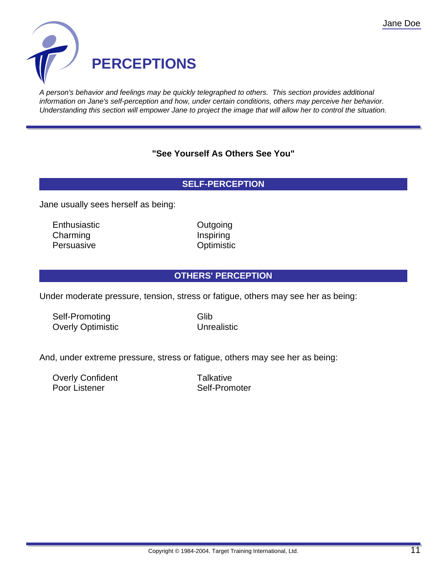

A person's behavior and feelings may be quickly telegraphed to others. This section provides additional information on Jane's self-perception and how, under certain conditions, others may perceive her behavior. Understanding this section will empower Jane to project the image that will allow her to control the situation.

## **"See Yourself As Others See You"**

## **SELF-PERCEPTION**

Jane usually sees herself as being:

Enthusiastic **Outgoing** Charming **Inspiring** Inspiring Persuasive **Optimistic** 

### **OTHERS' PERCEPTION**

Under moderate pressure, tension, stress or fatigue, others may see her as being:

Self-Promoting Glib Overly Optimistic Unrealistic

And, under extreme pressure, stress or fatigue, others may see her as being:

Overly Confident Talkative Poor Listener Self-Promoter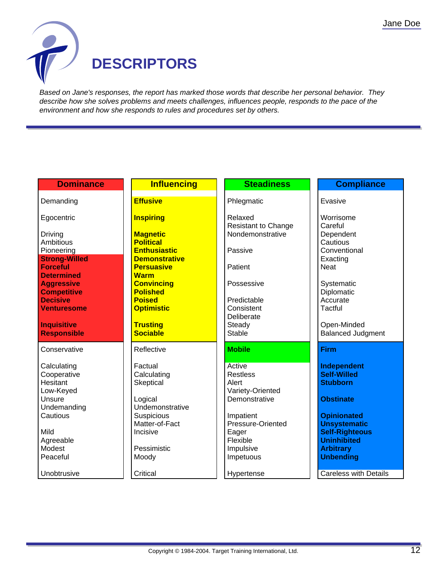

Based on Jane's responses, the report has marked those words that describe her personal behavior. They describe how she solves problems and meets challenges, influences people, responds to the pace of the environment and how she responds to rules and procedures set by others.

| <b>Dominance</b>                         | <b>Influencing</b>                          | <b>Steadiness</b>              | <b>Compliance</b>                         |  |
|------------------------------------------|---------------------------------------------|--------------------------------|-------------------------------------------|--|
| Demanding                                | <b>Effusive</b>                             | Phlegmatic                     | Evasive                                   |  |
|                                          |                                             |                                |                                           |  |
| Egocentric                               | <b>Inspiring</b>                            | Relaxed                        | Worrisome                                 |  |
|                                          |                                             | <b>Resistant to Change</b>     | Careful                                   |  |
| Driving                                  | <b>Magnetic</b>                             | Nondemonstrative               | Dependent                                 |  |
| Ambitious                                | <b>Political</b>                            |                                | Cautious                                  |  |
| Pioneering<br><b>Strong-Willed</b>       | <b>Enthusiastic</b><br><b>Demonstrative</b> | Passive                        | Conventional<br>Exacting                  |  |
| <b>Forceful</b>                          | <b>Persuasive</b>                           | Patient                        | <b>Neat</b>                               |  |
| <b>Determined</b>                        | <b>Warm</b>                                 |                                |                                           |  |
| <b>Aggressive</b>                        | <b>Convincing</b>                           | Possessive                     | Systematic                                |  |
| <b>Competitive</b>                       | <b>Polished</b>                             |                                | Diplomatic                                |  |
| <b>Decisive</b>                          | <b>Poised</b>                               | Predictable                    | Accurate                                  |  |
| <b>Venturesome</b>                       | <b>Optimistic</b>                           | Consistent                     | Tactful                                   |  |
|                                          |                                             | Deliberate                     |                                           |  |
| <b>Inquisitive</b><br><b>Responsible</b> | <b>Trusting</b><br><b>Sociable</b>          | Steady<br><b>Stable</b>        | Open-Minded<br><b>Balanced Judgment</b>   |  |
|                                          |                                             |                                |                                           |  |
| Conservative                             | Reflective                                  | <b>Mobile</b>                  | <b>Firm</b>                               |  |
| Calculating                              | Factual                                     | Active                         | Independent                               |  |
| Cooperative                              | Calculating                                 | <b>Restless</b>                | <b>Self-Willed</b>                        |  |
| Hesitant                                 | Skeptical                                   | Alert                          | <b>Stubborn</b>                           |  |
| Low-Keyed                                |                                             | Variety-Oriented               |                                           |  |
| Unsure                                   | Logical                                     | Demonstrative                  | <b>Obstinate</b>                          |  |
| Undemanding                              | Undemonstrative                             |                                |                                           |  |
| Cautious                                 | Suspicious<br>Matter-of-Fact                | Impatient<br>Pressure-Oriented | <b>Opinionated</b><br><b>Unsystematic</b> |  |
| Mild                                     | Incisive                                    | Eager                          | <b>Self-Righteous</b>                     |  |
| Agreeable                                |                                             | Flexible                       | <b>Uninhibited</b>                        |  |
| Modest                                   | Pessimistic                                 | Impulsive                      | <b>Arbitrary</b>                          |  |
| Peaceful                                 | Moody                                       | Impetuous                      | <b>Unbending</b>                          |  |
|                                          |                                             |                                |                                           |  |
| Unobtrusive                              | Critical                                    | Hypertense                     | <b>Careless with Details</b>              |  |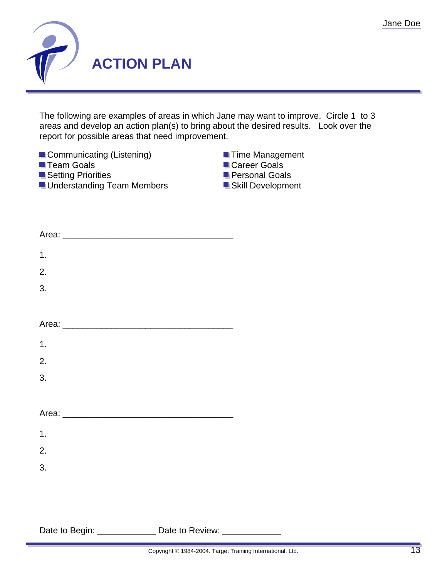

The following are examples of areas in which Jane may want to improve. Circle 1 to 3 areas and develop an action plan(s) to bring about the desired results. Look over the report for possible areas that need improvement.



| 1.                                                            |  |  |
|---------------------------------------------------------------|--|--|
| 2.                                                            |  |  |
| 3.                                                            |  |  |
|                                                               |  |  |
|                                                               |  |  |
| 1.                                                            |  |  |
| 2.                                                            |  |  |
| 3.                                                            |  |  |
|                                                               |  |  |
|                                                               |  |  |
| 1.                                                            |  |  |
| 2.                                                            |  |  |
| 3.                                                            |  |  |
|                                                               |  |  |
|                                                               |  |  |
| Date to Begin: ________________ Date to Review: _____________ |  |  |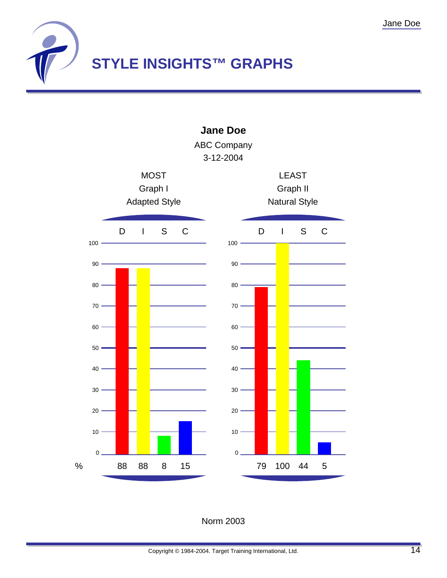



Norm 2003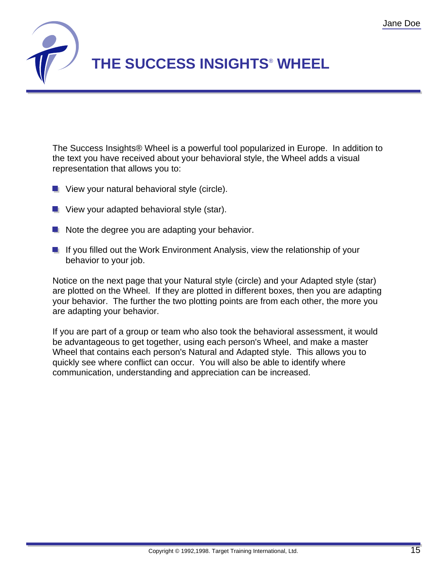

The Success Insights® Wheel is a powerful tool popularized in Europe. In addition to the text you have received about your behavioral style, the Wheel adds a visual representation that allows you to:

- $\blacksquare$  View your natural behavioral style (circle).
- **U** View your adapted behavioral style (star).
- $\blacksquare$  Note the degree you are adapting your behavior.
- If you filled out the Work Environment Analysis, view the relationship of your behavior to your job.

Notice on the next page that your Natural style (circle) and your Adapted style (star) are plotted on the Wheel. If they are plotted in different boxes, then you are adapting your behavior. The further the two plotting points are from each other, the more you are adapting your behavior.

If you are part of a group or team who also took the behavioral assessment, it would be advantageous to get together, using each person's Wheel, and make a master Wheel that contains each person's Natural and Adapted style. This allows you to quickly see where conflict can occur. You will also be able to identify where communication, understanding and appreciation can be increased.